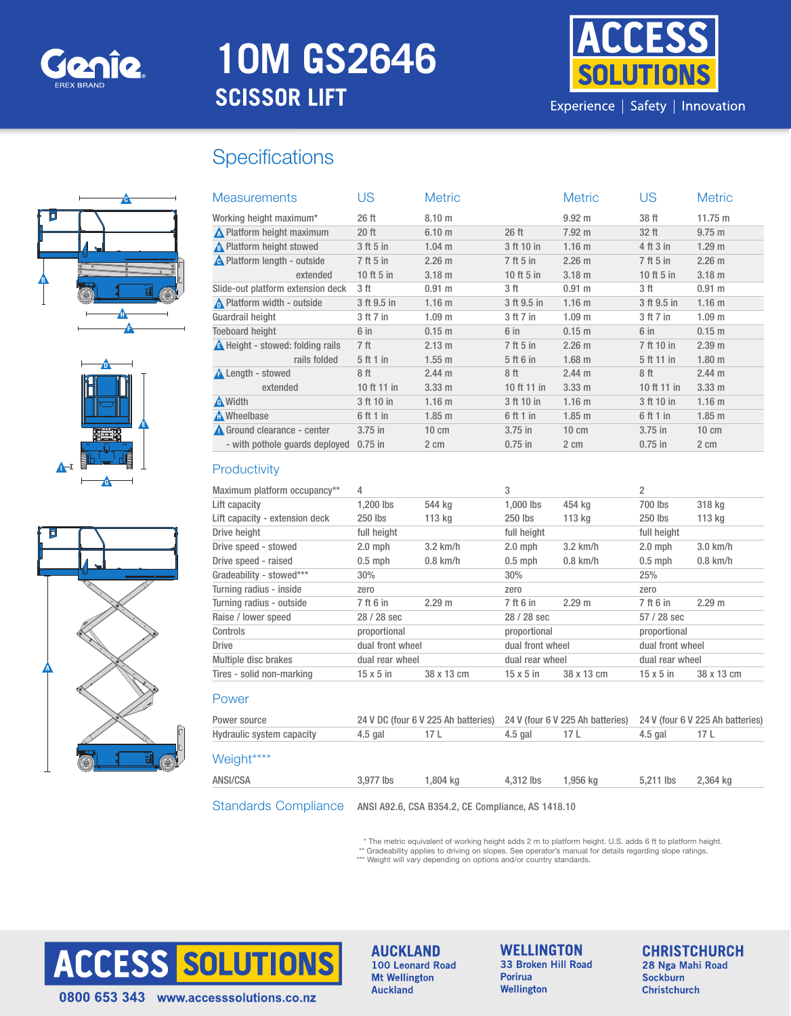

# **10M GS2646 SCISSOR LIFT**



## **Specifications**







| <b>Measurements</b>                | US           | <b>Metric</b>     |              | <b>Metric</b>     | US           | <b>Metric</b>     |
|------------------------------------|--------------|-------------------|--------------|-------------------|--------------|-------------------|
| Working height maximum*            | 26 ft        | 8.10 <sub>m</sub> |              | $9.92 \text{ m}$  | 38 ft        | 11.75 m           |
| <b>A</b> Platform height maximum   | $20$ ft      | 6.10 <sub>m</sub> | $26$ ft      | 7.92 m            | 32 ft        | $9.75 \; m$       |
| A Platform height stowed           | 3 ft 5 in    | $1.04$ m          | 3 ft 10 in   | 1.16 <sub>m</sub> | 4 ft 3 in    | 1.29 <sub>m</sub> |
| <b>A</b> Platform length - outside | 7 ft 5 in    | $2.26 \text{ m}$  | 7 ft 5 in    | $2.26 \text{ m}$  | 7 ft 5 in    | $2.26 \text{ m}$  |
| extended                           | $10$ ft 5 in | 3.18 <sub>m</sub> | 10 ft $5$ in | 3.18 <sub>m</sub> | 10 ft $5$ in | 3.18 <sub>m</sub> |
| Slide-out platform extension deck  | 3 ft         | 0.91 m            | 3 ft         | 0.91 m            | 3 ft         | $0.91 \;{\rm m}$  |
| Platform width - outside           | 3 ft 9.5 in  | 1.16 <sub>m</sub> | 3 ft 9.5 in  | 1.16 <sub>m</sub> | 3 ft 9.5 in  | 1.16 <sub>m</sub> |
| Guardrail height                   | 3 ft 7 in    | 1.09 <sub>m</sub> | 3 ft 7 in    | 1.09 <sub>m</sub> | 3 ft 7 in    | 1.09 <sub>m</sub> |
| <b>Toeboard height</b>             | $6$ in       | 0.15 <sub>m</sub> | $6$ in       | $0.15$ m          | 6 in         | 0.15 <sub>m</sub> |
| A Height - stowed: folding rails   | 7 ft         | $2.13 \text{ m}$  | 7 ft 5 in    | $2.26 \text{ m}$  | 7 ft 10 in   | 2.39 m            |
| rails folded                       | 5 ft 1 in    | $1.55$ m          | 5 ft 6 in    | $1.68$ m          | 5 ft 11 in   | 1.80 <sub>m</sub> |
| <b>A</b> Length - stowed           | 8 ft         | $2.44 \text{ m}$  | 8 ft         | $2.44 \text{ m}$  | 8 ft         | $2.44 \text{ m}$  |
| extended                           | 10 ft 11 in  | $3.33 \text{ m}$  | 10 ft 11 in  | $3.33 \text{ m}$  | 10 ft 11 in  | 3.33 m            |
| A Width                            | 3 ft 10 in   | 1.16 <sub>m</sub> | 3 ft 10 in   | 1.16 <sub>m</sub> | 3 ft 10 in   | 1.16 <sub>m</sub> |
| A Wheelbase                        | 6 ft 1 in    | $1.85$ m          | 6 ft 1 in    | $1.85$ m          | 6 ft 1 in    | $1.85$ m          |
| Ground clearance - center          | $3.75$ in    | $10 \text{ cm}$   | $3.75$ in    | $10 \text{ cm}$   | $3.75$ in    | $10 \text{ cm}$   |
| - with pothole quards deployed     | $0.75$ in    | 2 cm              | $0.75$ in    | $2 \text{ cm}$    | $0.75$ in    | 2 cm              |

#### **Productivity**

| Maximum platform occupancy**   | 4                |            | 3                |                  | 2                |                    |  |
|--------------------------------|------------------|------------|------------------|------------------|------------------|--------------------|--|
| Lift capacity                  | 1.200 lbs        | 544 kg     | $1.000$ lbs      | 454 ka           | 700 lbs          | 318 kg             |  |
| Lift capacity - extension deck | 250 lbs          | 113 ka     | 250 lbs          | 113 kg           | 250 lbs          | 113 kg             |  |
| Drive height                   | full height      |            |                  | full height      |                  | full height        |  |
| Drive speed - stowed           | $2.0$ mph        | $3.2$ km/h | $2.0$ mph        | $3.2$ km/h       | $2.0$ mph        | $3.0 \text{ km/h}$ |  |
| Drive speed - raised           | $0.5$ mph        | $0.8$ km/h | $0.5$ mph        | $0.8$ km/h       | $0.5$ mph        | $0.8$ km/h         |  |
| Gradeability - stowed***       | 30%              |            | 30%              |                  | 25%              |                    |  |
| Turning radius - inside        | zero             |            | zero             |                  | zero             |                    |  |
| Turning radius - outside       | 7 ft 6 in        | 2.29 m     | 7 ft 6 in        | 2.29 m           | 7 ft 6 in        | 2.29 <sub>m</sub>  |  |
| Raise / lower speed            | 28 / 28 sec      |            |                  | 28 / 28 sec      |                  | $57/28$ sec        |  |
| Controls                       | proportional     |            |                  | proportional     |                  | proportional       |  |
| <b>Drive</b>                   | dual front wheel |            |                  | dual front wheel |                  | dual front wheel   |  |
| Multiple disc brakes           | dual rear wheel  |            |                  | dual rear wheel  |                  | dual rear wheel    |  |
| Tires - solid non-marking      | $15 \times 5$ in | 38 x 13 cm | $15 \times 5$ in | 38 x 13 cm       | $15 \times 5$ in | 38 x 13 cm         |  |

| Power source              | 24 V DC (four 6 V 225 Ah batteries)<br>24 V (four 6 V 225 Ah batteries) |          |           | 24 V (four 6 V 225 Ah batteries) |           |          |
|---------------------------|-------------------------------------------------------------------------|----------|-----------|----------------------------------|-----------|----------|
| Hydraulic system capacity | $4.5$ gal                                                               | 17 L     | 4.5 gal   | 17 L                             | $4.5$ gal | 17 L     |
| Weight****                |                                                                         |          |           |                                  |           |          |
| ANSI/CSA                  | 3.977 lbs                                                               | 1.804 ka | 4.312 lbs | 1.956 ka                         | 5.211 lbs | 2.364 kg |
|                           | Standards Compliance ANSI A92.6, CSA B354.2, CE Compliance, AS 1418.10  |          |           |                                  |           |          |

\* The metric equivalent of working height adds 2 m to platform height. U.S. adds 6 ft to platform height.<br>\*\* Gradeability applies to driving on slopes. See operator's manual for details regarding slope ratings.<br>\*\*\* Weight



**AUCKLAND** 100 Leonard Road **Mt Wellington Auckland** 

**WELLINGTON** 33 Broken Hill Road Porirua Wellington

**CHRISTCHURCH** 28 Nga Mahi Road **Sockburn Christchurch**